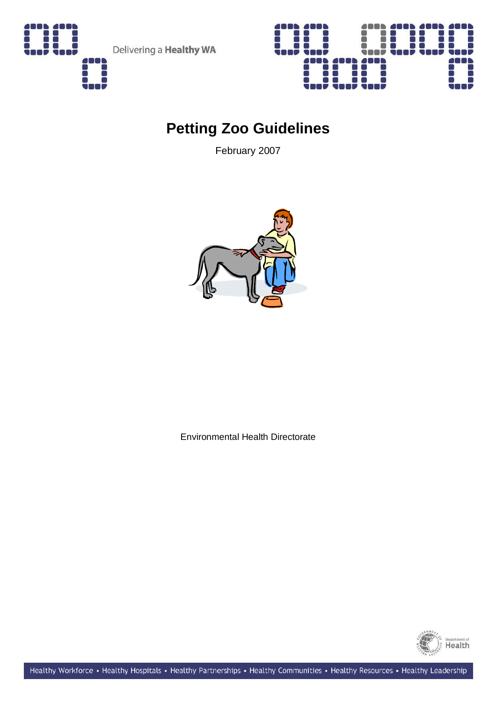

Delivering a **Healthy WA** 



# **Petting Zoo Guidelines**

February 2007



Environmental Health Directorate

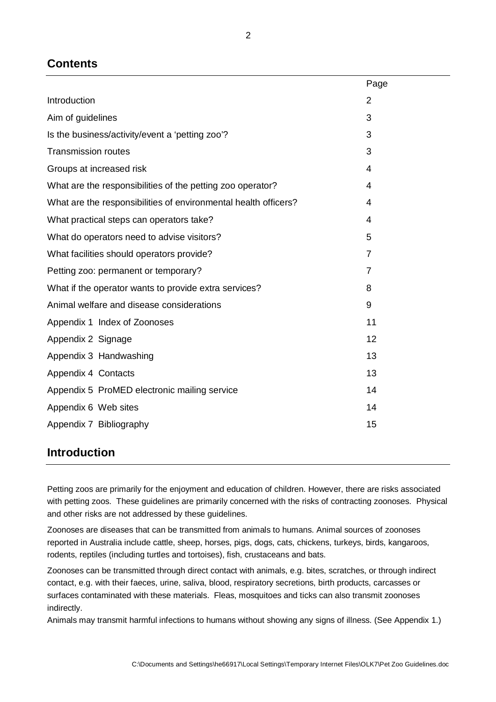## **Contents**

|                                                                 | Page           |
|-----------------------------------------------------------------|----------------|
| Introduction                                                    | $\overline{2}$ |
| Aim of guidelines                                               | 3              |
| Is the business/activity/event a 'petting zoo'?                 | 3              |
| <b>Transmission routes</b>                                      | 3              |
| Groups at increased risk                                        | 4              |
| What are the responsibilities of the petting zoo operator?      | 4              |
| What are the responsibilities of environmental health officers? | $\overline{4}$ |
| What practical steps can operators take?                        | 4              |
| What do operators need to advise visitors?                      | 5              |
| What facilities should operators provide?                       | $\overline{7}$ |
| Petting zoo: permanent or temporary?                            | $\overline{7}$ |
| What if the operator wants to provide extra services?           | 8              |
| Animal welfare and disease considerations                       | 9              |
| Appendix 1 Index of Zoonoses                                    | 11             |
| Appendix 2 Signage                                              | 12             |
| Appendix 3 Handwashing                                          | 13             |
| Appendix 4 Contacts                                             | 13             |
| Appendix 5 ProMED electronic mailing service                    | 14             |
| Appendix 6 Web sites                                            | 14             |
| Appendix 7 Bibliography                                         | 15             |
|                                                                 |                |

## **Introduction**

Petting zoos are primarily for the enjoyment and education of children. However, there are risks associated with petting zoos. These guidelines are primarily concerned with the risks of contracting zoonoses. Physical and other risks are not addressed by these guidelines.

Zoonoses are diseases that can be transmitted from animals to humans. Animal sources of zoonoses reported in Australia include cattle, sheep, horses, pigs, dogs, cats, chickens, turkeys, birds, kangaroos, rodents, reptiles (including turtles and tortoises), fish, crustaceans and bats.

Zoonoses can be transmitted through direct contact with animals, e.g. bites, scratches, or through indirect contact, e.g. with their faeces, urine, saliva, blood, respiratory secretions, birth products, carcasses or surfaces contaminated with these materials. Fleas, mosquitoes and ticks can also transmit zoonoses indirectly.

Animals may transmit harmful infections to humans without showing any signs of illness. (See Appendix 1.)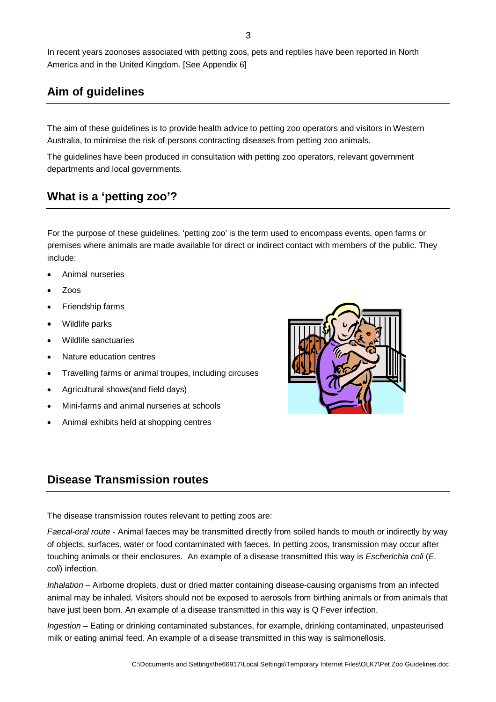In recent years zoonoses associated with petting zoos, pets and reptiles have been reported in North America and in the United Kingdom. [See Appendix 6]

## **Aim of guidelines**

The aim of these guidelines is to provide health advice to petting zoo operators and visitors in Western Australia, to minimise the risk of persons contracting diseases from petting zoo animals.

The guidelines have been produced in consultation with petting zoo operators, relevant government departments and local governments.

## **What is a 'petting zoo'?**

For the purpose of these guidelines, 'petting zoo' is the term used to encompass events, open farms or premises where animals are made available for direct or indirect contact with members of the public. They include:

- Animal nurseries
- Zoos
- Friendship farms
- Wildlife parks
- Wildlife sanctuaries
- Nature education centres
- Travelling farms or animal troupes, including circuses
- Agricultural shows(and field days)
- Mini-farms and animal nurseries at schools
- Animal exhibits held at shopping centres

## **Disease Transmission routes**

The disease transmission routes relevant to petting zoos are:

Faecal-oral route - Animal faeces may be transmitted directly from soiled hands to mouth or indirectly by way of objects, surfaces, water or food contaminated with faeces. In petting zoos, transmission may occur after touching animals or their enclosures. An example of a disease transmitted this way is Escherichia coli (E. coli) infection.

Inhalation – Airborne droplets, dust or dried matter containing disease-causing organisms from an infected animal may be inhaled. Visitors should not be exposed to aerosols from birthing animals or from animals that have just been born. An example of a disease transmitted in this way is Q Fever infection.

Ingestion – Eating or drinking contaminated substances, for example, drinking contaminated, unpasteurised milk or eating animal feed. An example of a disease transmitted in this way is salmonellosis.

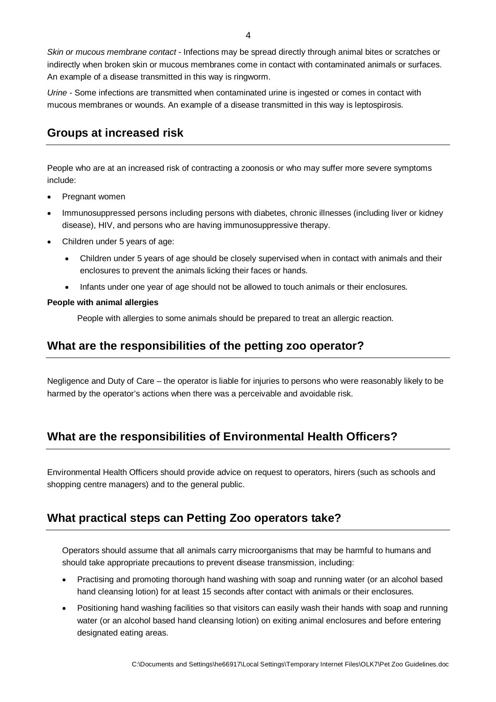Skin or mucous membrane contact - Infections may be spread directly through animal bites or scratches or indirectly when broken skin or mucous membranes come in contact with contaminated animals or surfaces. An example of a disease transmitted in this way is ringworm.

Urine - Some infections are transmitted when contaminated urine is ingested or comes in contact with mucous membranes or wounds. An example of a disease transmitted in this way is leptospirosis.

## **Groups at increased risk**

People who are at an increased risk of contracting a zoonosis or who may suffer more severe symptoms include:

- Pregnant women
- Immunosuppressed persons including persons with diabetes, chronic illnesses (including liver or kidney disease), HIV, and persons who are having immunosuppressive therapy.
- Children under 5 years of age:
	- Children under 5 years of age should be closely supervised when in contact with animals and their enclosures to prevent the animals licking their faces or hands.
	- Infants under one year of age should not be allowed to touch animals or their enclosures.

#### **People with animal allergies**

People with allergies to some animals should be prepared to treat an allergic reaction.

### **What are the responsibilities of the petting zoo operator?**

Negligence and Duty of Care – the operator is liable for injuries to persons who were reasonably likely to be harmed by the operator's actions when there was a perceivable and avoidable risk.

## **What are the responsibilities of Environmental Health Officers?**

Environmental Health Officers should provide advice on request to operators, hirers (such as schools and shopping centre managers) and to the general public.

## **What practical steps can Petting Zoo operators take?**

Operators should assume that all animals carry microorganisms that may be harmful to humans and should take appropriate precautions to prevent disease transmission, including:

- Practising and promoting thorough hand washing with soap and running water (or an alcohol based hand cleansing lotion) for at least 15 seconds after contact with animals or their enclosures.
- Positioning hand washing facilities so that visitors can easily wash their hands with soap and running water (or an alcohol based hand cleansing lotion) on exiting animal enclosures and before entering designated eating areas.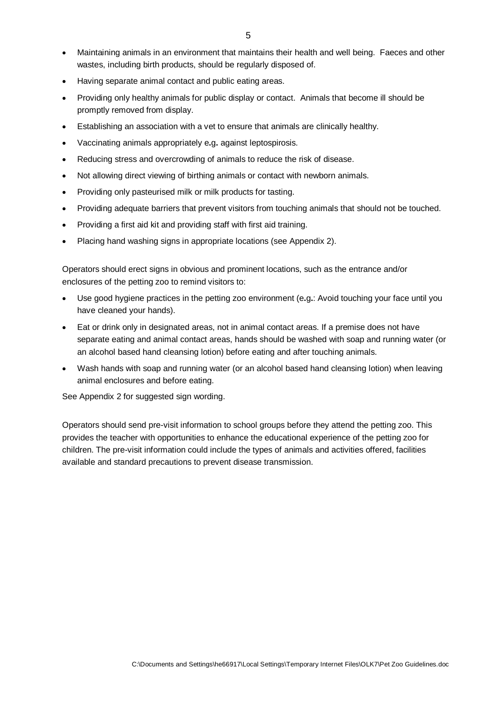- Maintaining animals in an environment that maintains their health and well being. Faeces and other wastes, including birth products, should be regularly disposed of.
- Having separate animal contact and public eating areas.
- Providing only healthy animals for public display or contact. Animals that become ill should be promptly removed from display.
- Establishing an association with a vet to ensure that animals are clinically healthy.
- Vaccinating animals appropriately e**.**g**.** against leptospirosis.
- Reducing stress and overcrowding of animals to reduce the risk of disease.
- Not allowing direct viewing of birthing animals or contact with newborn animals.
- Providing only pasteurised milk or milk products for tasting.
- Providing adequate barriers that prevent visitors from touching animals that should not be touched.
- Providing a first aid kit and providing staff with first aid training.
- Placing hand washing signs in appropriate locations (see Appendix 2).

Operators should erect signs in obvious and prominent locations, such as the entrance and/or enclosures of the petting zoo to remind visitors to:

- Use good hygiene practices in the petting zoo environment (e**.**g**.**: Avoid touching your face until you have cleaned your hands).
- Eat or drink only in designated areas, not in animal contact areas. If a premise does not have separate eating and animal contact areas, hands should be washed with soap and running water (or an alcohol based hand cleansing lotion) before eating and after touching animals.
- Wash hands with soap and running water (or an alcohol based hand cleansing lotion) when leaving animal enclosures and before eating.

See Appendix 2 for suggested sign wording.

Operators should send pre-visit information to school groups before they attend the petting zoo. This provides the teacher with opportunities to enhance the educational experience of the petting zoo for children. The pre-visit information could include the types of animals and activities offered, facilities available and standard precautions to prevent disease transmission.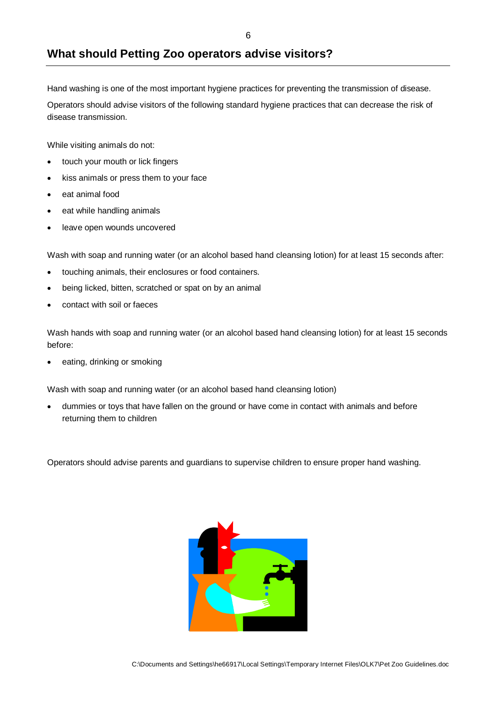## **What should Petting Zoo operators advise visitors?**

Hand washing is one of the most important hygiene practices for preventing the transmission of disease.

Operators should advise visitors of the following standard hygiene practices that can decrease the risk of disease transmission.

While visiting animals do not:

- touch your mouth or lick fingers
- kiss animals or press them to your face
- eat animal food
- eat while handling animals
- leave open wounds uncovered

Wash with soap and running water (or an alcohol based hand cleansing lotion) for at least 15 seconds after:

- touching animals, their enclosures or food containers.
- being licked, bitten, scratched or spat on by an animal
- contact with soil or faeces

Wash hands with soap and running water (or an alcohol based hand cleansing lotion) for at least 15 seconds before:

eating, drinking or smoking

Wash with soap and running water (or an alcohol based hand cleansing lotion)

• dummies or toys that have fallen on the ground or have come in contact with animals and before returning them to children

Operators should advise parents and guardians to supervise children to ensure proper hand washing.

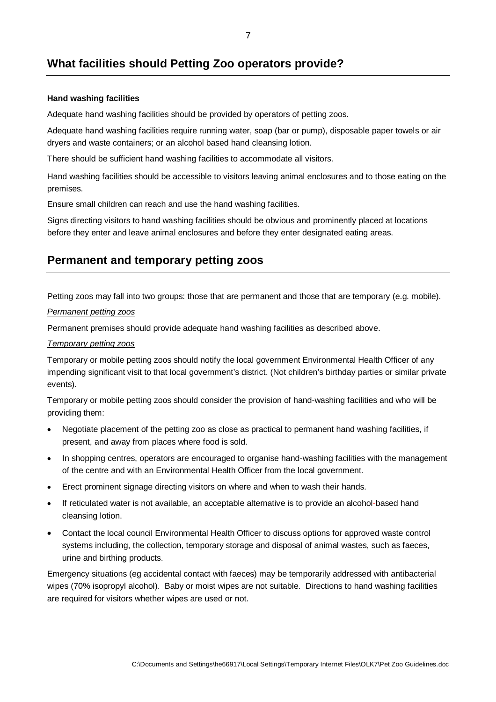## **What facilities should Petting Zoo operators provide?**

#### **Hand washing facilities**

Adequate hand washing facilities should be provided by operators of petting zoos.

Adequate hand washing facilities require running water, soap (bar or pump), disposable paper towels or air dryers and waste containers; or an alcohol based hand cleansing lotion.

There should be sufficient hand washing facilities to accommodate all visitors.

Hand washing facilities should be accessible to visitors leaving animal enclosures and to those eating on the premises.

Ensure small children can reach and use the hand washing facilities.

Signs directing visitors to hand washing facilities should be obvious and prominently placed at locations before they enter and leave animal enclosures and before they enter designated eating areas.

## **Permanent and temporary petting zoos**

Petting zoos may fall into two groups: those that are permanent and those that are temporary (e.g. mobile).

#### Permanent petting zoos

Permanent premises should provide adequate hand washing facilities as described above.

#### Temporary petting zoos

Temporary or mobile petting zoos should notify the local government Environmental Health Officer of any impending significant visit to that local government's district. (Not children's birthday parties or similar private events).

Temporary or mobile petting zoos should consider the provision of hand-washing facilities and who will be providing them:

- Negotiate placement of the petting zoo as close as practical to permanent hand washing facilities, if present, and away from places where food is sold.
- In shopping centres, operators are encouraged to organise hand-washing facilities with the management of the centre and with an Environmental Health Officer from the local government.
- Erect prominent signage directing visitors on where and when to wash their hands.
- If reticulated water is not available, an acceptable alternative is to provide an alcohol-based hand cleansing lotion.
- Contact the local council Environmental Health Officer to discuss options for approved waste control systems including, the collection, temporary storage and disposal of animal wastes, such as faeces, urine and birthing products.

Emergency situations (eg accidental contact with faeces) may be temporarily addressed with antibacterial wipes (70% isopropyl alcohol). Baby or moist wipes are not suitable. Directions to hand washing facilities are required for visitors whether wipes are used or not.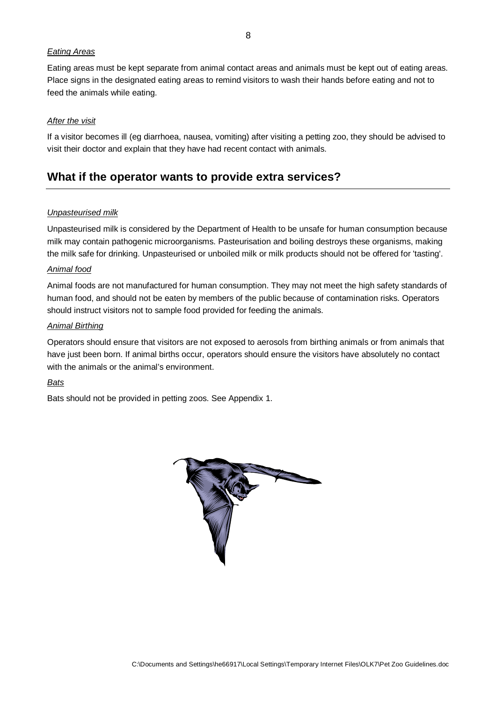#### Eating Areas

Eating areas must be kept separate from animal contact areas and animals must be kept out of eating areas. Place signs in the designated eating areas to remind visitors to wash their hands before eating and not to feed the animals while eating.

#### After the visit

If a visitor becomes ill (eg diarrhoea, nausea, vomiting) after visiting a petting zoo, they should be advised to visit their doctor and explain that they have had recent contact with animals.

### **What if the operator wants to provide extra services?**

#### Unpasteurised milk

Unpasteurised milk is considered by the Department of Health to be unsafe for human consumption because milk may contain pathogenic microorganisms. Pasteurisation and boiling destroys these organisms, making the milk safe for drinking. Unpasteurised or unboiled milk or milk products should not be offered for 'tasting'.

#### Animal food

Animal foods are not manufactured for human consumption. They may not meet the high safety standards of human food, and should not be eaten by members of the public because of contamination risks. Operators should instruct visitors not to sample food provided for feeding the animals.

#### Animal Birthing

Operators should ensure that visitors are not exposed to aerosols from birthing animals or from animals that have just been born. If animal births occur, operators should ensure the visitors have absolutely no contact with the animals or the animal's environment.

#### **Bats**

Bats should not be provided in petting zoos. See Appendix 1.

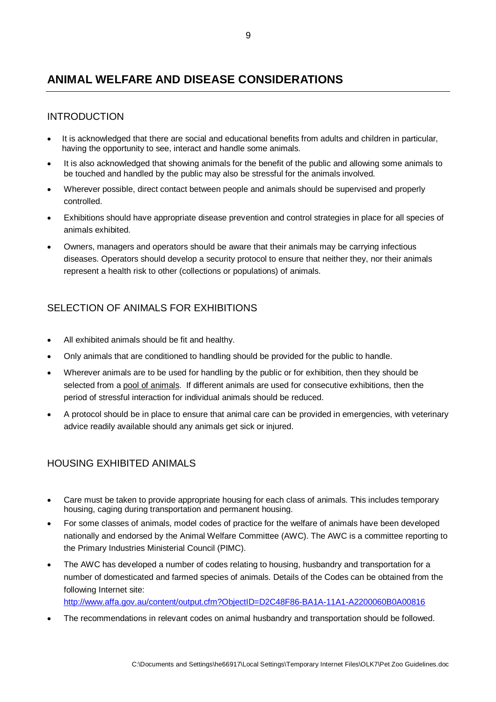## **ANIMAL WELFARE AND DISEASE CONSIDERATIONS**

### INTRODUCTION

- It is acknowledged that there are social and educational benefits from adults and children in particular, having the opportunity to see, interact and handle some animals.
- It is also acknowledged that showing animals for the benefit of the public and allowing some animals to be touched and handled by the public may also be stressful for the animals involved.
- Wherever possible, direct contact between people and animals should be supervised and properly controlled.
- Exhibitions should have appropriate disease prevention and control strategies in place for all species of animals exhibited.
- Owners, managers and operators should be aware that their animals may be carrying infectious diseases. Operators should develop a security protocol to ensure that neither they, nor their animals represent a health risk to other (collections or populations) of animals.

### SELECTION OF ANIMALS FOR EXHIBITIONS

- All exhibited animals should be fit and healthy.
- Only animals that are conditioned to handling should be provided for the public to handle.
- Wherever animals are to be used for handling by the public or for exhibition, then they should be selected from a pool of animals. If different animals are used for consecutive exhibitions, then the period of stressful interaction for individual animals should be reduced.
- A protocol should be in place to ensure that animal care can be provided in emergencies, with veterinary advice readily available should any animals get sick or injured.

### HOUSING EXHIBITED ANIMALS

- Care must be taken to provide appropriate housing for each class of animals. This includes temporary housing, caging during transportation and permanent housing.
- For some classes of animals, model codes of practice for the welfare of animals have been developed nationally and endorsed by the Animal Welfare Committee (AWC). The AWC is a committee reporting to the Primary Industries Ministerial Council (PIMC).
- The AWC has developed a number of codes relating to housing, husbandry and transportation for a number of domesticated and farmed species of animals. Details of the Codes can be obtained from the following Internet site:

http://www.affa.gov.au/content/output.cfm?ObjectID=D2C48F86-BA1A-11A1-A2200060B0A00816

• The recommendations in relevant codes on animal husbandry and transportation should be followed.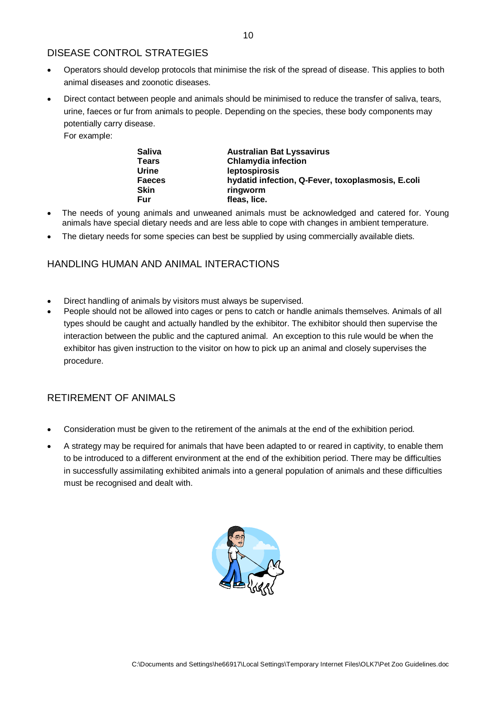### DISEASE CONTROL STRATEGIES

- Operators should develop protocols that minimise the risk of the spread of disease. This applies to both animal diseases and zoonotic diseases.
- Direct contact between people and animals should be minimised to reduce the transfer of saliva, tears, urine, faeces or fur from animals to people. Depending on the species, these body components may potentially carry disease.

For example:

| <b>Saliva</b><br><b>Australian Bat Lyssavirus</b>                  |  |
|--------------------------------------------------------------------|--|
| <b>Chlamydia infection</b><br><b>Tears</b>                         |  |
| Urine<br>leptospirosis                                             |  |
| hydatid infection, Q-Fever, toxoplasmosis, E.coli<br><b>Faeces</b> |  |
| <b>Skin</b><br>ringworm                                            |  |
| Fur<br>fleas, lice.                                                |  |

- The needs of young animals and unweaned animals must be acknowledged and catered for. Young animals have special dietary needs and are less able to cope with changes in ambient temperature.
- The dietary needs for some species can best be supplied by using commercially available diets.

### HANDLING HUMAN AND ANIMAL INTERACTIONS

- Direct handling of animals by visitors must always be supervised.
- People should not be allowed into cages or pens to catch or handle animals themselves. Animals of all types should be caught and actually handled by the exhibitor. The exhibitor should then supervise the interaction between the public and the captured animal. An exception to this rule would be when the exhibitor has given instruction to the visitor on how to pick up an animal and closely supervises the procedure.

### RETIREMENT OF ANIMALS

- Consideration must be given to the retirement of the animals at the end of the exhibition period.
- A strategy may be required for animals that have been adapted to or reared in captivity, to enable them to be introduced to a different environment at the end of the exhibition period. There may be difficulties in successfully assimilating exhibited animals into a general population of animals and these difficulties must be recognised and dealt with.

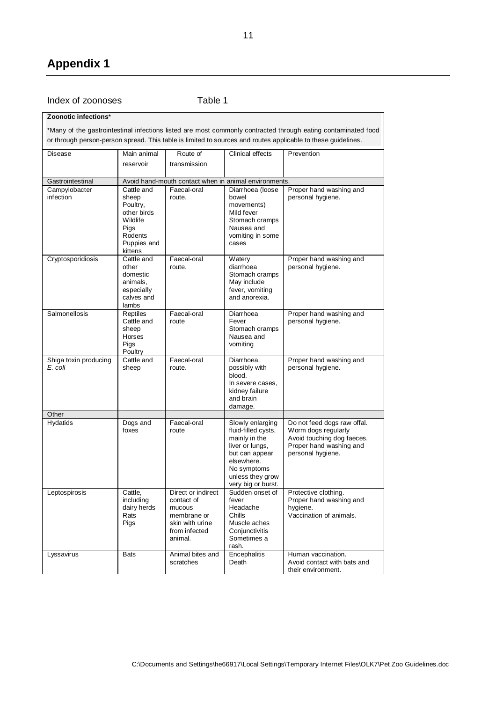### Index of zoonoses Table 1

#### **Zoonotic infections**\*

\*Many of the gastrointestinal infections listed are most commonly contracted through eating contaminated food or through person-person spread. This table is limited to sources and routes applicable to these guidelines.

| Disease                          | Main animal                                                                               | Route of                                                                                                 | Clinical effects                                                                                                                                                     | Prevention                                                                                                                       |
|----------------------------------|-------------------------------------------------------------------------------------------|----------------------------------------------------------------------------------------------------------|----------------------------------------------------------------------------------------------------------------------------------------------------------------------|----------------------------------------------------------------------------------------------------------------------------------|
|                                  | reservoir                                                                                 | transmission                                                                                             |                                                                                                                                                                      |                                                                                                                                  |
|                                  |                                                                                           |                                                                                                          |                                                                                                                                                                      |                                                                                                                                  |
| Gastrointestinal                 | Cattle and                                                                                | Avoid hand-mouth contact when in animal environments.<br>Faecal-oral                                     | Diarrhoea (loose                                                                                                                                                     |                                                                                                                                  |
| Campylobacter<br>infection       | sheep<br>Poultry,<br>other birds<br>Wildlife<br>Pigs<br>Rodents<br>Puppies and<br>kittens | route.                                                                                                   | bowel<br>movements)<br>Mild fever<br>Stomach cramps<br>Nausea and<br>vomiting in some<br>cases                                                                       | Proper hand washing and<br>personal hygiene.                                                                                     |
| Cryptosporidiosis                | Cattle and<br>other<br>domestic<br>animals,<br>especially<br>calves and<br>lambs          | Faecal-oral<br>route.                                                                                    | Watery<br>diarrhoea<br>Stomach cramps<br>May include<br>fever, vomiting<br>and anorexia.                                                                             | Proper hand washing and<br>personal hygiene.                                                                                     |
| Salmonellosis                    | Reptiles<br>Cattle and<br>sheep<br>Horses<br>Pigs<br>Poultry                              | Faecal-oral<br>route                                                                                     | Diarrhoea<br>Fever<br>Stomach cramps<br>Nausea and<br>vomiting                                                                                                       | Proper hand washing and<br>personal hygiene.                                                                                     |
| Shiga toxin producing<br>E. coli | Cattle and<br>sheep                                                                       | Faecal-oral<br>route.                                                                                    | Diarrhoea,<br>possibly with<br>blood.<br>In severe cases,<br>kidney failure<br>and brain<br>damage.                                                                  | Proper hand washing and<br>personal hygiene.                                                                                     |
| Other                            |                                                                                           |                                                                                                          |                                                                                                                                                                      |                                                                                                                                  |
| <b>Hydatids</b>                  | Dogs and<br>foxes                                                                         | Faecal-oral<br>route                                                                                     | Slowly enlarging<br>fluid-filled cysts,<br>mainly in the<br>liver or lungs,<br>but can appear<br>elsewhere.<br>No symptoms<br>unless they grow<br>very big or burst. | Do not feed dogs raw offal.<br>Worm dogs regularly<br>Avoid touching dog faeces.<br>Proper hand washing and<br>personal hygiene. |
| Leptospirosis                    | Cattle,<br>including<br>dairy herds<br>Rats<br>Pigs                                       | Direct or indirect<br>contact of<br>mucous<br>membrane or<br>skin with urine<br>from infected<br>animal. | Sudden onset of<br>fever<br>Headache<br>Chills<br>Muscle aches<br>Conjunctivitis<br>Sometimes a<br>rash.                                                             | Protective clothing.<br>Proper hand washing and<br>hygiene.<br>Vaccination of animals.                                           |
| Lyssavirus                       | <b>Bats</b>                                                                               | Animal bites and<br>scratches                                                                            | Encephalitis<br>Death                                                                                                                                                | Human vaccination.<br>Avoid contact with bats and<br>their environment.                                                          |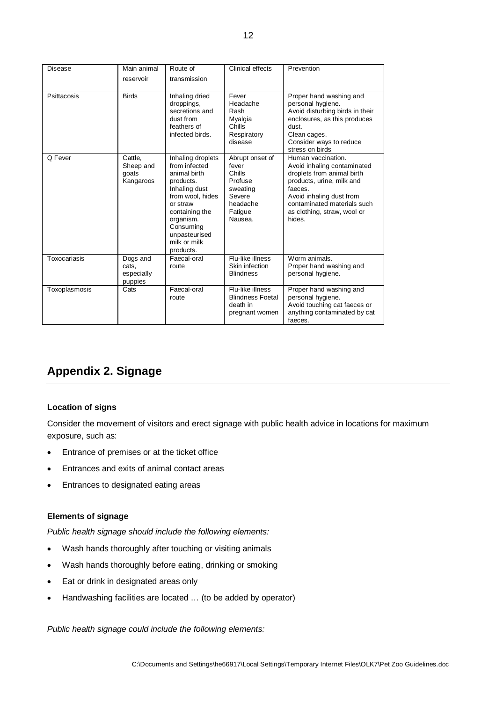| Disease       | Main animal<br>reservoir                   | Route of<br>transmission                                                                                                                                                                                   | Clinical effects                                                                                      | Prevention                                                                                                                                                                                                                  |
|---------------|--------------------------------------------|------------------------------------------------------------------------------------------------------------------------------------------------------------------------------------------------------------|-------------------------------------------------------------------------------------------------------|-----------------------------------------------------------------------------------------------------------------------------------------------------------------------------------------------------------------------------|
| Psittacosis   | <b>Birds</b>                               | Inhaling dried<br>droppings,<br>secretions and<br>dust from<br>feathers of<br>infected birds.                                                                                                              | Fever<br>Headache<br>Rash<br>Myalgia<br>Chills<br>Respiratory<br>disease                              | Proper hand washing and<br>personal hygiene.<br>Avoid disturbing birds in their<br>enclosures, as this produces<br>dust.<br>Clean cages.<br>Consider ways to reduce<br>stress on birds                                      |
| Q Fever       | Cattle.<br>Sheep and<br>goats<br>Kangaroos | Inhaling droplets<br>from infected<br>animal birth<br>products.<br>Inhaling dust<br>from wool, hides<br>or straw<br>containing the<br>organism.<br>Consuming<br>unpasteurised<br>milk or milk<br>products. | Abrupt onset of<br>fever<br>Chills<br>Profuse<br>sweating<br>Severe<br>headache<br>Fatigue<br>Nausea. | Human vaccination.<br>Avoid inhaling contaminated<br>droplets from animal birth<br>products, urine, milk and<br>faeces.<br>Avoid inhaling dust from<br>contaminated materials such<br>as clothing, straw, wool or<br>hides. |
| Toxocariasis  | Dogs and<br>cats,<br>especially<br>puppies | Faecal-oral<br>route                                                                                                                                                                                       | Flu-like illness<br>Skin infection<br><b>Blindness</b>                                                | Worm animals.<br>Proper hand washing and<br>personal hygiene.                                                                                                                                                               |
| Toxoplasmosis | Cats                                       | Faecal-oral<br>route                                                                                                                                                                                       | Flu-like illness<br><b>Blindness Foetal</b><br>death in<br>pregnant women                             | Proper hand washing and<br>personal hygiene.<br>Avoid touching cat faeces or<br>anything contaminated by cat<br>faeces.                                                                                                     |

## **Appendix 2. Signage**

#### **Location of signs**

Consider the movement of visitors and erect signage with public health advice in locations for maximum exposure, such as:

- Entrance of premises or at the ticket office
- Entrances and exits of animal contact areas
- Entrances to designated eating areas

#### **Elements of signage**

Public health signage should include the following elements:

- Wash hands thoroughly after touching or visiting animals
- Wash hands thoroughly before eating, drinking or smoking
- Eat or drink in designated areas only
- Handwashing facilities are located … (to be added by operator)

Public health signage could include the following elements: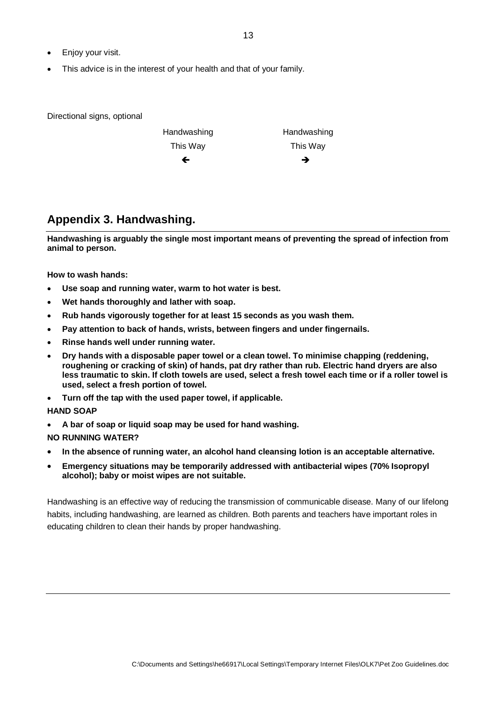- Enjoy your visit.
- This advice is in the interest of your health and that of your family.

Directional signs, optional

| Handwashing | Handwashing |
|-------------|-------------|
| This Way    | This Way    |
| ←           | →           |

## **Appendix 3. Handwashing.**

**Handwashing is arguably the single most important means of preventing the spread of infection from animal to person.** 

**How to wash hands:** 

- **Use soap and running water, warm to hot water is best.**
- **Wet hands thoroughly and lather with soap.**
- **Rub hands vigorously together for at least 15 seconds as you wash them.**
- **Pay attention to back of hands, wrists, between fingers and under fingernails.**
- **Rinse hands well under running water.**
- **Dry hands with a disposable paper towel or a clean towel. To minimise chapping (reddening, roughening or cracking of skin) of hands, pat dry rather than rub. Electric hand dryers are also less traumatic to skin. If cloth towels are used, select a fresh towel each time or if a roller towel is used, select a fresh portion of towel.**
- **Turn off the tap with the used paper towel, if applicable.**

#### **HAND SOAP**

- **A bar of soap or liquid soap may be used for hand washing.**
- **NO RUNNING WATER?**
- **In the absence of running water, an alcohol hand cleansing lotion is an acceptable alternative.**
- **Emergency situations may be temporarily addressed with antibacterial wipes (70% Isopropyl alcohol); baby or moist wipes are not suitable.**

Handwashing is an effective way of reducing the transmission of communicable disease. Many of our lifelong habits, including handwashing, are learned as children. Both parents and teachers have important roles in educating children to clean their hands by proper handwashing.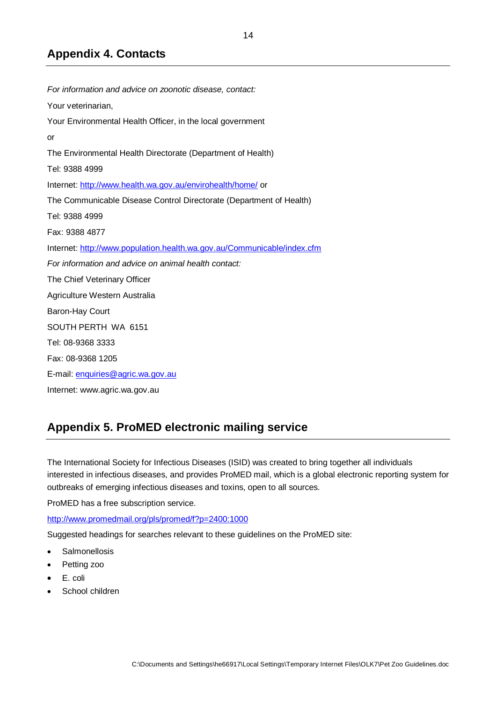## **Appendix 4. Contacts**

For information and advice on zoonotic disease, contact: Your veterinarian, Your Environmental Health Officer, in the local government or The Environmental Health Directorate (Department of Health) Tel: 9388 4999 Internet: http://www.health.wa.gov.au/envirohealth/home/ or The Communicable Disease Control Directorate (Department of Health) Tel: 9388 4999 Fax: 9388 4877 Internet: http://www.population.health.wa.gov.au/Communicable/index.cfm For information and advice on animal health contact: The Chief Veterinary Officer Agriculture Western Australia Baron-Hay Court SOUTH PERTH WA 6151 Tel: 08-9368 3333 Fax: 08-9368 1205 E-mail: enquiries@agric.wa.gov.au Internet: www.agric.wa.gov.au

## **Appendix 5. ProMED electronic mailing service**

The International Society for Infectious Diseases (ISID) was created to bring together all individuals interested in infectious diseases, and provides ProMED mail, which is a global electronic reporting system for outbreaks of emerging infectious diseases and toxins, open to all sources.

ProMED has a free subscription service.

http://www.promedmail.org/pls/promed/f?p=2400:1000

Suggested headings for searches relevant to these guidelines on the ProMED site:

- **Salmonellosis**
- Petting zoo
- E. coli
- School children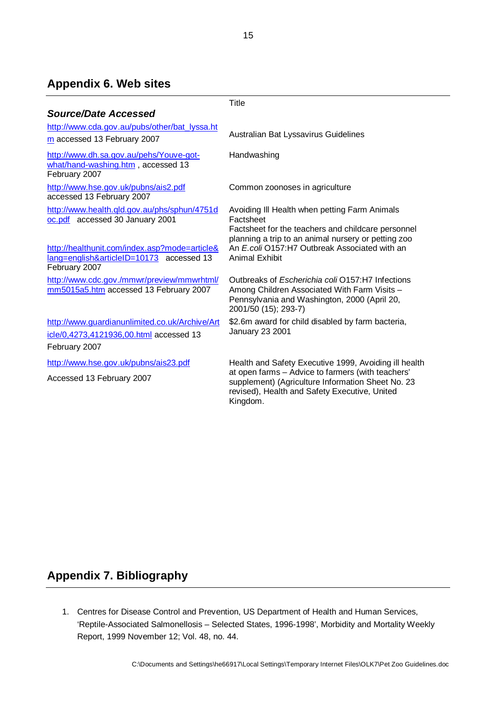## **Appendix 6. Web sites**

|                                                                                                            | Title                                                                                                                                                                                                                        |
|------------------------------------------------------------------------------------------------------------|------------------------------------------------------------------------------------------------------------------------------------------------------------------------------------------------------------------------------|
| <b>Source/Date Accessed</b>                                                                                |                                                                                                                                                                                                                              |
| http://www.cda.gov.au/pubs/other/bat_lyssa.ht                                                              |                                                                                                                                                                                                                              |
| m accessed 13 February 2007                                                                                | Australian Bat Lyssavirus Guidelines                                                                                                                                                                                         |
| http://www.dh.sa.gov.au/pehs/Youve-got-<br>what/hand-washing.htm, accessed 13<br>February 2007             | Handwashing                                                                                                                                                                                                                  |
| http://www.hse.gov.uk/pubns/ais2.pdf<br>accessed 13 February 2007                                          | Common zoonoses in agriculture                                                                                                                                                                                               |
| http://www.health.qld.gov.au/phs/sphun/4751d<br>oc.pdf accessed 30 January 2001                            | Avoiding III Health when petting Farm Animals<br>Factsheet<br>Factsheet for the teachers and childcare personnel<br>planning a trip to an animal nursery or petting zoo                                                      |
| http://healthunit.com/index.asp?mode=article&<br>lang=english&articleID=10173 accessed 13<br>February 2007 | An E.coli O157:H7 Outbreak Associated with an<br>Animal Exhibit                                                                                                                                                              |
| http://www.cdc.gov./mmwr/preview/mmwrhtml/<br>mm5015a5.htm accessed 13 February 2007                       | Outbreaks of Escherichia coli O157:H7 Infections<br>Among Children Associated With Farm Visits -<br>Pennsylvania and Washington, 2000 (April 20,<br>2001/50 (15); 293-7)                                                     |
| http://www.guardianunlimited.co.uk/Archive/Art<br>icle/0,4273,4121936,00.html accessed 13<br>February 2007 | \$2.6m award for child disabled by farm bacteria,<br>January 23 2001                                                                                                                                                         |
|                                                                                                            |                                                                                                                                                                                                                              |
| http://www.hse.gov.uk/pubns/ais23.pdf<br>Accessed 13 February 2007                                         | Health and Safety Executive 1999, Avoiding ill health<br>at open farms - Advice to farmers (with teachers'<br>supplement) (Agriculture Information Sheet No. 23<br>revised), Health and Safety Executive, United<br>Kingdom. |

## **Appendix 7. Bibliography**

1. Centres for Disease Control and Prevention, US Department of Health and Human Services, 'Reptile-Associated Salmonellosis – Selected States, 1996-1998', Morbidity and Mortality Weekly Report, 1999 November 12; Vol. 48, no. 44.